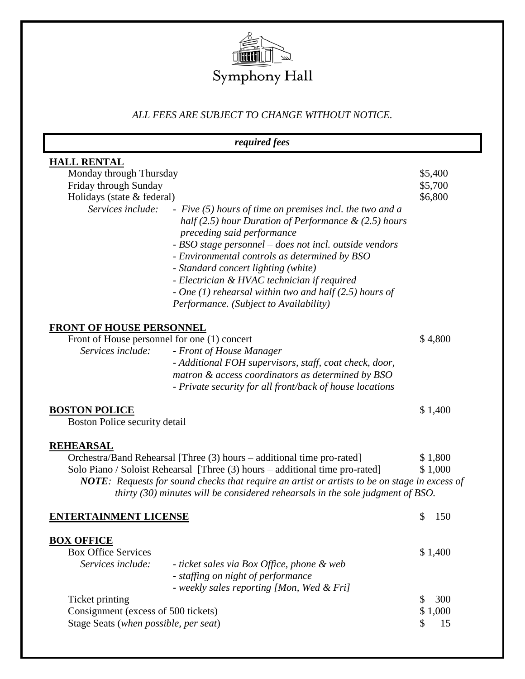

# *ALL FEES ARE SUBJECT TO CHANGE WITHOUT NOTICE.*

| required fees                                |                                                                                                                                                                                                                                                                                                                                                                                                                                                               |           |
|----------------------------------------------|---------------------------------------------------------------------------------------------------------------------------------------------------------------------------------------------------------------------------------------------------------------------------------------------------------------------------------------------------------------------------------------------------------------------------------------------------------------|-----------|
| <b>HALL RENTAL</b>                           |                                                                                                                                                                                                                                                                                                                                                                                                                                                               |           |
| Monday through Thursday                      |                                                                                                                                                                                                                                                                                                                                                                                                                                                               | \$5,400   |
| Friday through Sunday                        |                                                                                                                                                                                                                                                                                                                                                                                                                                                               | \$5,700   |
| Holidays (state & federal)                   |                                                                                                                                                                                                                                                                                                                                                                                                                                                               | \$6,800   |
| Services include:                            | - Five $(5)$ hours of time on premises incl. the two and a<br>half (2.5) hour Duration of Performance $\&$ (2.5) hours<br>preceding said performance<br>- BSO stage personnel – does not incl. outside vendors<br>- Environmental controls as determined by BSO<br>- Standard concert lighting (white)<br>- Electrician & HVAC technician if required<br>- One $(1)$ rehearsal within two and half $(2.5)$ hours of<br>Performance. (Subject to Availability) |           |
| <b>FRONT OF HOUSE PERSONNEL</b>              |                                                                                                                                                                                                                                                                                                                                                                                                                                                               |           |
| Front of House personnel for one (1) concert |                                                                                                                                                                                                                                                                                                                                                                                                                                                               | \$4,800   |
| Services include:                            | - Front of House Manager<br>- Additional FOH supervisors, staff, coat check, door,<br>matron & access coordinators as determined by BSO<br>- Private security for all front/back of house locations                                                                                                                                                                                                                                                           |           |
| <b>BOSTON POLICE</b>                         |                                                                                                                                                                                                                                                                                                                                                                                                                                                               | \$1,400   |
| Boston Police security detail                |                                                                                                                                                                                                                                                                                                                                                                                                                                                               |           |
| <b>REHEARSAL</b>                             |                                                                                                                                                                                                                                                                                                                                                                                                                                                               |           |
|                                              | Orchestra/Band Rehearsal [Three (3) hours – additional time pro-rated]                                                                                                                                                                                                                                                                                                                                                                                        | \$1,800   |
|                                              | Solo Piano / Soloist Rehearsal [Three (3) hours – additional time pro-rated]                                                                                                                                                                                                                                                                                                                                                                                  | \$1,000   |
|                                              | NOTE: Requests for sound checks that require an artist or artists to be on stage in excess of<br>thirty $(30)$ minutes will be considered rehearsals in the sole judgment of BSO.                                                                                                                                                                                                                                                                             |           |
| <b>ENTERTAINMENT LICENSE</b>                 |                                                                                                                                                                                                                                                                                                                                                                                                                                                               | \$<br>150 |
| <b>BOX OFFICE</b>                            |                                                                                                                                                                                                                                                                                                                                                                                                                                                               |           |
| <b>Box Office Services</b>                   |                                                                                                                                                                                                                                                                                                                                                                                                                                                               | \$1,400   |
| Services include:                            | - ticket sales via Box Office, phone & web                                                                                                                                                                                                                                                                                                                                                                                                                    |           |
|                                              | - staffing on night of performance<br>- weekly sales reporting [Mon, Wed & Fri]                                                                                                                                                                                                                                                                                                                                                                               |           |
| Ticket printing                              |                                                                                                                                                                                                                                                                                                                                                                                                                                                               | 300<br>\$ |
| Consignment (excess of 500 tickets)          |                                                                                                                                                                                                                                                                                                                                                                                                                                                               | \$1,000   |
| Stage Seats (when possible, per seat)        |                                                                                                                                                                                                                                                                                                                                                                                                                                                               | \$<br>15  |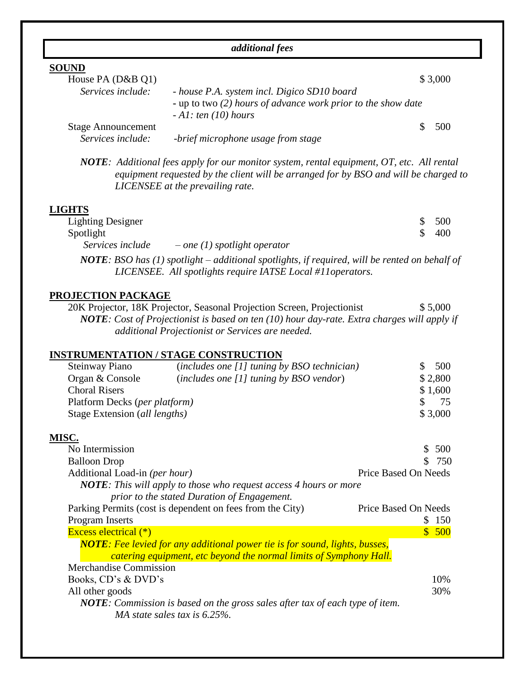| <i>additional fees</i>    |                                                              |         |
|---------------------------|--------------------------------------------------------------|---------|
| <b>SOUND</b>              |                                                              |         |
| House PA (D&B Q1)         |                                                              | \$3,000 |
| Services include:         | - house P.A. system incl. Digico SD10 board                  |         |
|                           | - up to two (2) hours of advance work prior to the show date |         |
|                           | $-AI$ : ten (10) hours                                       |         |
| <b>Stage Announcement</b> |                                                              | 500     |
| Services include:         | -brief microphone usage from stage                           |         |

*NOTE: Additional fees apply for our monitor system, rental equipment, OT, etc. All rental equipment requested by the client will be arranged for by BSO and will be charged to LICENSEE at the prevailing rate.*

#### **LIGHTS**

| <b>Lighting Designer</b> |                                | \$500 |
|--------------------------|--------------------------------|-------|
| Spotlight                |                                | 400   |
| Services include         | $-$ one (1) spotlight operator |       |

*NOTE: BSO has (1) spotlight – additional spotlights, if required, will be rented on behalf of LICENSEE. All spotlights require IATSE Local #11operators.*

#### **PROJECTION PACKAGE**

20K Projector, 18K Projector, Seasonal Projection Screen, Projectionist \$ 5,000 *NOTE: Cost of Projectionist is based on ten (10) hour day-rate. Extra charges will apply if additional Projectionist or Services are needed.*

# **INSTRUMENTATION / STAGE CONSTRUCTION**

| Steinway Piano                         | $(includes one [1] tuning by BSO technician)$ | 500     |
|----------------------------------------|-----------------------------------------------|---------|
| Organ & Console                        | $(includes one [1] tuning by BSO vendor)$     | \$2,800 |
| <b>Choral Risers</b>                   |                                               | \$1,600 |
| Platform Decks ( <i>per platform</i> ) |                                               | 75      |
| Stage Extension (all lengths)          |                                               | \$3,000 |
|                                        |                                               |         |

#### **MISC.**

| No Intermission                                                                      | 500<br>S.            |
|--------------------------------------------------------------------------------------|----------------------|
| <b>Balloon</b> Drop                                                                  | - 750                |
| Additional Load-in (per hour)                                                        | Price Based On Needs |
| <b>NOTE</b> : This will apply to those who request access 4 hours or more            |                      |
| prior to the stated Duration of Engagement.                                          |                      |
| Parking Permits (cost is dependent on fees from the City)                            | Price Based On Needs |
| Program Inserts                                                                      | 150                  |
| <b>Excess electrical</b> (*)                                                         | \$500                |
| <b>NOTE</b> : Fee levied for any additional power tie is for sound, lights, busses,  |                      |
| catering equipment, etc beyond the normal limits of Symphony Hall.                   |                      |
| <b>Merchandise Commission</b>                                                        |                      |
| Books, CD's & DVD's                                                                  | 10%                  |
| All other goods                                                                      | 30%                  |
| <b>NOTE</b> : Commission is based on the gross sales after tax of each type of item. |                      |
| MA state sales tax is $6.25\%$ .                                                     |                      |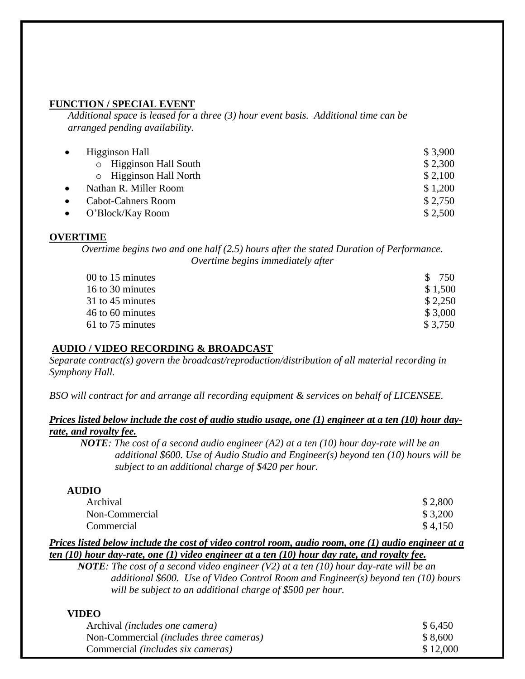#### **FUNCTION / SPECIAL EVENT**

*Additional space is leased for a three (3) hour event basis. Additional time can be arranged pending availability.*

| $\bullet$ | Higginson Hall               | \$3,900 |
|-----------|------------------------------|---------|
|           | $\circ$ Higginson Hall South | \$2,300 |
|           | o Higginson Hall North       | \$2,100 |
| $\bullet$ | Nathan R. Miller Room        | \$1,200 |
| $\bullet$ | <b>Cabot-Cahners Room</b>    | \$2,750 |
|           | $\bullet$ O'Block/Kay Room   | \$2,500 |

#### **OVERTIME**

*Overtime begins two and one half (2.5) hours after the stated Duration of Performance. Overtime begins immediately after* 

| 00 to 15 minutes | \$ 750   |
|------------------|----------|
| 16 to 30 minutes | \$1,500  |
| 31 to 45 minutes | \$2,250  |
| 46 to 60 minutes | \$3,000  |
| 61 to 75 minutes | \$ 3.750 |

### **AUDIO / VIDEO RECORDING & BROADCAST**

*Separate contract(s) govern the broadcast/reproduction/distribution of all material recording in Symphony Hall.*

*BSO will contract for and arrange all recording equipment & services on behalf of LICENSEE.*

# *Prices listed below include the cost of audio studio usage, one (1) engineer at a ten (10) hour dayrate, and royalty fee.*

*NOTE: The cost of a second audio engineer (A2) at a ten (10) hour day-rate will be an additional \$600. Use of Audio Studio and Engineer(s) beyond ten (10) hours will be subject to an additional charge of \$420 per hour.*

### **AUDIO**

| Archival       | \$2,800 |
|----------------|---------|
| Non-Commercial | \$3,200 |
| Commercial     | \$4,150 |

# *Prices listed below include the cost of video control room, audio room, one (1) audio engineer at a ten (10) hour day-rate, one (1) video engineer at a ten (10) hour day rate, and royalty fee.*

 *NOTE: The cost of a second video engineer (V2) at a ten (10) hour day-rate will be an additional \$600. Use of Video Control Room and Engineer(s) beyond ten (10) hours will be subject to an additional charge of \$500 per hour.* 

#### **VIDEO**

| Archival <i>(includes one camera)</i>          | \$6,450  |
|------------------------------------------------|----------|
| Non-Commercial <i>(includes three cameras)</i> | \$8,600  |
| Commercial <i>(includes six cameras)</i>       | \$12,000 |